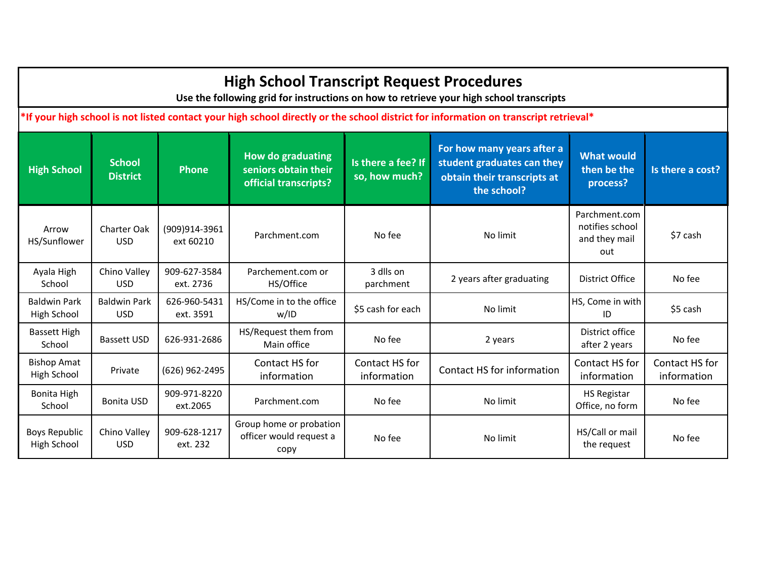| <b>High School Transcript Request Procedures</b><br>Use the following grid for instructions on how to retrieve your high school transcripts |                                                                                                                                      |                            |                                                                           |                                     |                                                                                                        |                                                          |                               |  |  |  |
|---------------------------------------------------------------------------------------------------------------------------------------------|--------------------------------------------------------------------------------------------------------------------------------------|----------------------------|---------------------------------------------------------------------------|-------------------------------------|--------------------------------------------------------------------------------------------------------|----------------------------------------------------------|-------------------------------|--|--|--|
|                                                                                                                                             | *If your high school is not listed contact your high school directly or the school district for information on transcript retrieval* |                            |                                                                           |                                     |                                                                                                        |                                                          |                               |  |  |  |
| <b>High School</b>                                                                                                                          | <b>School</b><br><b>District</b>                                                                                                     | <b>Phone</b>               | <b>How do graduating</b><br>seniors obtain their<br>official transcripts? | Is there a fee? If<br>so, how much? | For how many years after a<br>student graduates can they<br>obtain their transcripts at<br>the school? | <b>What would</b><br>then be the<br>process?             | Is there a cost?              |  |  |  |
| Arrow<br>HS/Sunflower                                                                                                                       | <b>Charter Oak</b><br><b>USD</b>                                                                                                     | (909)914-3961<br>ext 60210 | Parchment.com                                                             | No fee                              | No limit                                                                                               | Parchment.com<br>notifies school<br>and they mail<br>out | \$7 cash                      |  |  |  |
| Ayala High<br>School                                                                                                                        | Chino Valley<br><b>USD</b>                                                                                                           | 909-627-3584<br>ext. 2736  | Parchement.com or<br>HS/Office                                            | 3 dlls on<br>parchment              | 2 years after graduating                                                                               | <b>District Office</b>                                   | No fee                        |  |  |  |
| <b>Baldwin Park</b><br>High School                                                                                                          | <b>Baldwin Park</b><br><b>USD</b>                                                                                                    | 626-960-5431<br>ext. 3591  | HS/Come in to the office<br>w/ID                                          | \$5 cash for each                   | No limit                                                                                               | HS, Come in with<br>ID                                   | \$5 cash                      |  |  |  |
| <b>Bassett High</b><br>School                                                                                                               | <b>Bassett USD</b>                                                                                                                   | 626-931-2686               | HS/Request them from<br>Main office                                       | No fee                              | 2 years                                                                                                | District office<br>after 2 years                         | No fee                        |  |  |  |
| <b>Bishop Amat</b><br>High School                                                                                                           | Private                                                                                                                              | (626) 962-2495             | Contact HS for<br>information                                             | Contact HS for<br>information       | Contact HS for information                                                                             | Contact HS for<br>information                            | Contact HS for<br>information |  |  |  |
| Bonita High<br>School                                                                                                                       | <b>Bonita USD</b>                                                                                                                    | 909-971-8220<br>ext.2065   | Parchment.com                                                             | No fee                              | No limit                                                                                               | <b>HS Registar</b><br>Office, no form                    | No fee                        |  |  |  |
| <b>Boys Republic</b><br>High School                                                                                                         | Chino Valley<br><b>USD</b>                                                                                                           | 909-628-1217<br>ext. 232   | Group home or probation<br>officer would request a<br>copy                | No fee                              | No limit                                                                                               | HS/Call or mail<br>the request                           | No fee                        |  |  |  |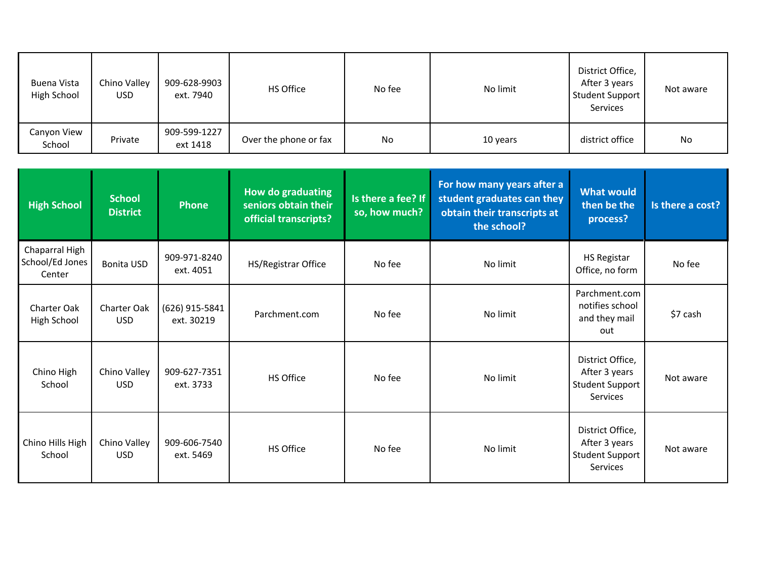| Buena Vista<br>High School | Chino Valley<br>USD | 909-628-9903<br>ext. 7940 | HS Office             | No fee | No limit | District Office,<br>After 3 years<br>Student Support<br>Services | Not aware |
|----------------------------|---------------------|---------------------------|-----------------------|--------|----------|------------------------------------------------------------------|-----------|
| Canyon View<br>School      | Private             | 909-599-1227<br>ext 1418  | Over the phone or fax | No     | 10 years | district office                                                  | No        |

| <b>High School</b>                          | <b>School</b><br><b>District</b> | <b>Phone</b>                 | How do graduating<br>seniors obtain their<br>official transcripts? | Is there a fee? If<br>so, how much? | For how many years after a<br>student graduates can they<br>obtain their transcripts at<br>the school? | <b>What would</b><br>then be the<br>process?                            | Is there a cost? |
|---------------------------------------------|----------------------------------|------------------------------|--------------------------------------------------------------------|-------------------------------------|--------------------------------------------------------------------------------------------------------|-------------------------------------------------------------------------|------------------|
| Chaparral High<br>School/Ed Jones<br>Center | <b>Bonita USD</b>                | 909-971-8240<br>ext. 4051    | HS/Registrar Office                                                | No fee                              | No limit                                                                                               | <b>HS Registar</b><br>Office, no form                                   | No fee           |
| Charter Oak<br>High School                  | <b>Charter Oak</b><br><b>USD</b> | (626) 915-5841<br>ext. 30219 | Parchment.com                                                      | No fee                              | No limit                                                                                               | Parchment.com<br>notifies school<br>and they mail<br>out                | \$7 cash         |
| Chino High<br>School                        | Chino Valley<br><b>USD</b>       | 909-627-7351<br>ext. 3733    | HS Office                                                          | No fee                              | No limit                                                                                               | District Office,<br>After 3 years<br><b>Student Support</b><br>Services | Not aware        |
| Chino Hills High<br>School                  | Chino Valley<br><b>USD</b>       | 909-606-7540<br>ext. 5469    | HS Office                                                          | No fee                              | No limit                                                                                               | District Office,<br>After 3 years<br><b>Student Support</b><br>Services | Not aware        |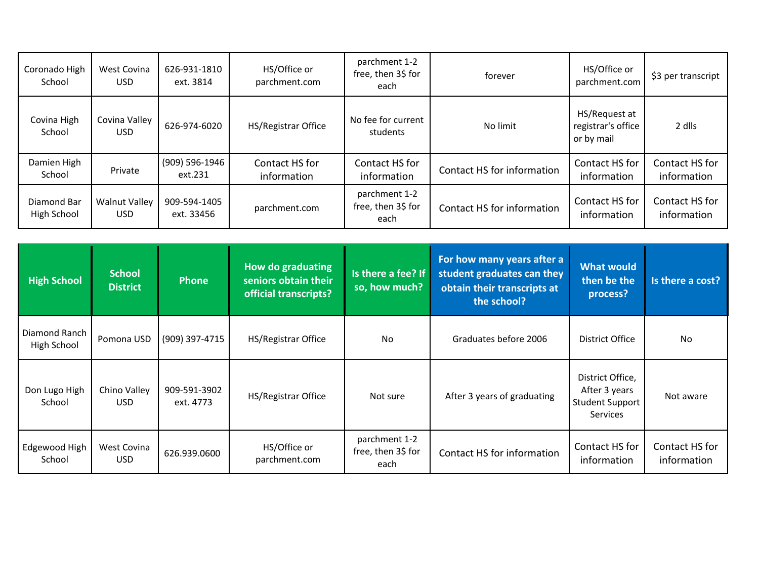| Coronado High<br>School      | West Covina<br><b>USD</b>          | 626-931-1810<br>ext. 3814  | HS/Office or<br>parchment.com                                             | parchment 1-2<br>free, then 3\$ for<br>each | forever                                                                                                | HS/Office or<br>parchment.com                                                  | \$3 per transcript            |
|------------------------------|------------------------------------|----------------------------|---------------------------------------------------------------------------|---------------------------------------------|--------------------------------------------------------------------------------------------------------|--------------------------------------------------------------------------------|-------------------------------|
| Covina High<br>School        | Covina Valley<br><b>USD</b>        | 626-974-6020               | HS/Registrar Office                                                       | No fee for current<br>students              | No limit                                                                                               | HS/Request at<br>registrar's office<br>or by mail                              | 2 dlls                        |
| Damien High<br>School        | Private                            | (909) 596-1946<br>ext.231  | Contact HS for<br>information                                             | Contact HS for<br>information               | Contact HS for information                                                                             | Contact HS for<br>information                                                  | Contact HS for<br>information |
| Diamond Bar<br>High School   | <b>Walnut Valley</b><br><b>USD</b> | 909-594-1405<br>ext. 33456 | parchment.com                                                             | parchment 1-2<br>free, then 3\$ for<br>each | Contact HS for information                                                                             | Contact HS for<br>information                                                  | Contact HS for<br>information |
|                              |                                    |                            |                                                                           |                                             |                                                                                                        |                                                                                |                               |
|                              |                                    |                            |                                                                           |                                             |                                                                                                        |                                                                                |                               |
| <b>High School</b>           | <b>School</b><br><b>District</b>   | <b>Phone</b>               | <b>How do graduating</b><br>seniors obtain their<br>official transcripts? | Is there a fee? If<br>so, how much?         | For how many years after a<br>student graduates can they<br>obtain their transcripts at<br>the school? | <b>What would</b><br>then be the<br>process?                                   | Is there a cost?              |
| Diamond Ranch<br>High School | Pomona USD                         | (909) 397-4715             | HS/Registrar Office                                                       | <b>No</b>                                   | Graduates before 2006                                                                                  | District Office                                                                | <b>No</b>                     |
| Don Lugo High<br>School      | Chino Valley<br><b>USD</b>         | 909-591-3902<br>ext. 4773  | HS/Registrar Office                                                       | Not sure                                    | After 3 years of graduating                                                                            | District Office,<br>After 3 years<br><b>Student Support</b><br><b>Services</b> | Not aware                     |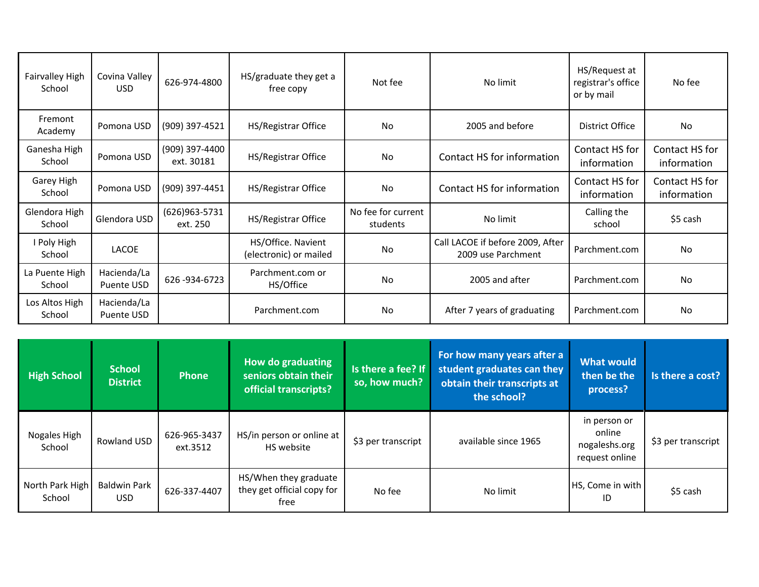| Fairvalley High<br>School | Covina Valley<br>USD.            | 626-974-4800                 | HS/graduate they get a<br>free copy          | Not fee                        | No limit                                               | HS/Request at<br>registrar's office<br>or by mail | No fee                        |
|---------------------------|----------------------------------|------------------------------|----------------------------------------------|--------------------------------|--------------------------------------------------------|---------------------------------------------------|-------------------------------|
| Fremont<br>Academy        | Pomona USD                       | (909) 397-4521               | HS/Registrar Office                          | No                             | 2005 and before                                        | District Office                                   | No                            |
| Ganesha High<br>School    | Pomona USD                       | (909) 397-4400<br>ext. 30181 | HS/Registrar Office                          | No                             | Contact HS for information                             | Contact HS for<br>information                     | Contact HS for<br>information |
| Garey High<br>School      | Pomona USD                       | (909) 397-4451               | HS/Registrar Office                          | No                             | Contact HS for information                             | Contact HS for<br>information                     | Contact HS for<br>information |
| Glendora High<br>School   | Glendora USD                     | (626) 963-5731<br>ext. 250   | HS/Registrar Office                          | No fee for current<br>students | No limit                                               | Calling the<br>school                             | \$5 cash                      |
| I Poly High<br>School     | LACOE                            |                              | HS/Office. Navient<br>(electronic) or mailed | No                             | Call LACOE if before 2009, After<br>2009 use Parchment | Parchment.com                                     | No                            |
| La Puente High<br>School  | Hacienda/La<br>Puente USD        | 626-934-6723                 | Parchment.com or<br>HS/Office                | No                             | 2005 and after                                         | Parchment.com                                     | No                            |
| Los Altos High<br>School  | Hacienda/La<br><b>Puente USD</b> |                              | Parchment.com                                | No                             | After 7 years of graduating                            | Parchment.com                                     | No                            |

| <b>High School</b>        | <b>School</b><br><b>District</b> | <b>Phone</b>             | How do graduating<br>seniors obtain their<br>official transcripts? | Is there a fee? If<br>so, how much? | For how many years after a<br>student graduates can they<br>obtain their transcripts at<br>the school? | <b>What would</b><br>then be the<br>process?              | Is there a cost?   |
|---------------------------|----------------------------------|--------------------------|--------------------------------------------------------------------|-------------------------------------|--------------------------------------------------------------------------------------------------------|-----------------------------------------------------------|--------------------|
| Nogales High<br>School    | Rowland USD                      | 626-965-3437<br>ext.3512 | HS/in person or online at<br>HS website                            | \$3 per transcript                  | available since 1965                                                                                   | in person or<br>online<br>nogaleshs.org<br>request online | \$3 per transcript |
| North Park High<br>School | <b>Baldwin Park</b><br>USD.      | 626-337-4407             | HS/When they graduate<br>they get official copy for<br>free        | No fee                              | No limit                                                                                               | HS, Come in with<br>ID                                    | \$5 cash           |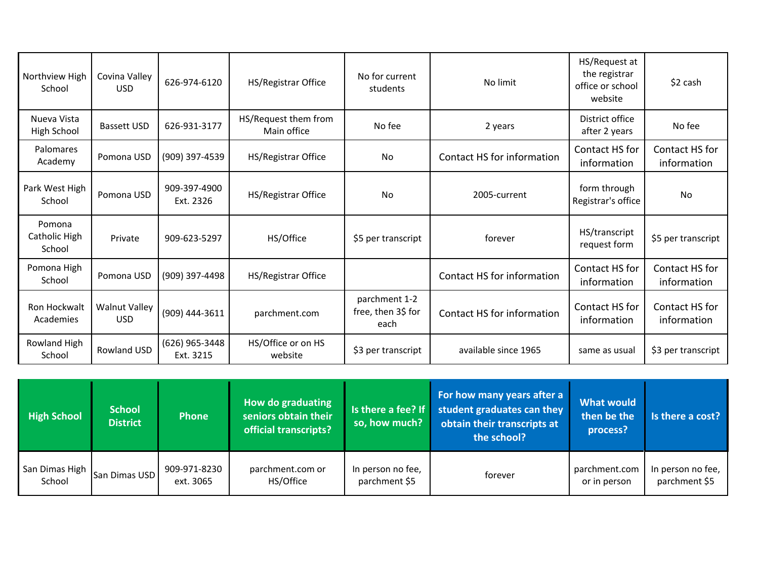| Northview High<br>School          | Covina Valley<br>USD               | 626-974-6120                | HS/Registrar Office                 | No for current<br>students                  | No limit                   | HS/Request at<br>the registrar<br>office or school<br>website | \$2 cash                      |
|-----------------------------------|------------------------------------|-----------------------------|-------------------------------------|---------------------------------------------|----------------------------|---------------------------------------------------------------|-------------------------------|
| Nueva Vista<br>High School        | <b>Bassett USD</b>                 | 626-931-3177                | HS/Request them from<br>Main office | No fee                                      | 2 years                    | District office<br>after 2 years                              | No fee                        |
| Palomares<br>Academy              | Pomona USD                         | (909) 397-4539              | HS/Registrar Office                 | No                                          | Contact HS for information | Contact HS for<br>information                                 | Contact HS for<br>information |
| Park West High<br>School          | Pomona USD                         | 909-397-4900<br>Ext. 2326   | HS/Registrar Office                 | No                                          | 2005-current               | form through<br>Registrar's office                            | <b>No</b>                     |
| Pomona<br>Catholic High<br>School | Private                            | 909-623-5297                | HS/Office                           | \$5 per transcript                          | forever                    | HS/transcript<br>request form                                 | \$5 per transcript            |
| Pomona High<br>School             | Pomona USD                         | (909) 397-4498              | HS/Registrar Office                 |                                             | Contact HS for information | Contact HS for<br>information                                 | Contact HS for<br>information |
| Ron Hockwalt<br>Academies         | <b>Walnut Valley</b><br><b>USD</b> | (909) 444-3611              | parchment.com                       | parchment 1-2<br>free, then 3\$ for<br>each | Contact HS for information | Contact HS for<br>information                                 | Contact HS for<br>information |
| Rowland High<br>School            | Rowland USD                        | (626) 965-3448<br>Ext. 3215 | HS/Office or on HS<br>website       | \$3 per transcript                          | available since 1965       | same as usual                                                 | \$3 per transcript            |

| <b>High School</b>       | <b>School</b><br><b>District</b> | <b>Phone</b>              | How do graduating<br>seniors obtain their<br>official transcripts? | so, how much?                      | For how many years after a<br>Is there a fee? If student graduates can they<br>obtain their transcripts at<br>the school? | <b>What would</b><br>then be the<br>process? | Is there a cost?                   |
|--------------------------|----------------------------------|---------------------------|--------------------------------------------------------------------|------------------------------------|---------------------------------------------------------------------------------------------------------------------------|----------------------------------------------|------------------------------------|
| San Dimas High<br>School | San Dimas USD                    | 909-971-8230<br>ext. 3065 | parchment.com or<br>HS/Office                                      | In person no fee,<br>parchment \$5 | forever                                                                                                                   | parchment.com<br>or in person                | In person no fee,<br>parchment \$5 |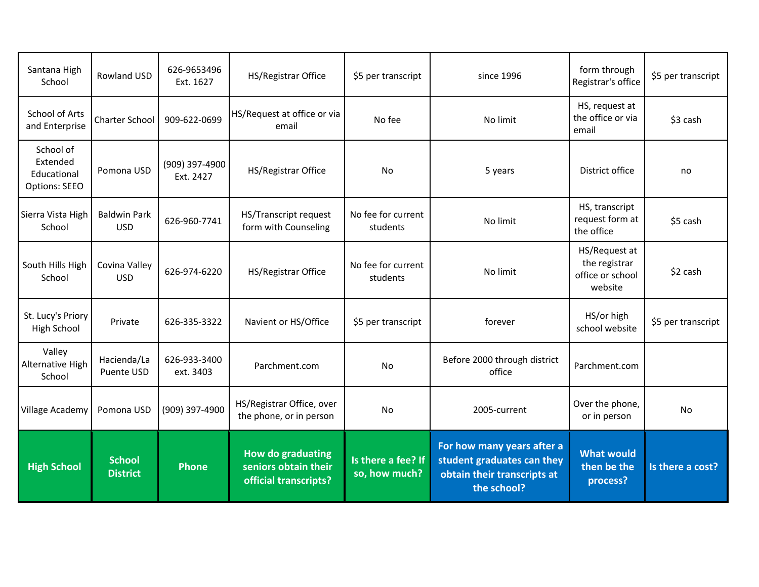| Santana High<br>School                                | <b>Rowland USD</b>                | 626-9653496<br>Ext. 1627    | HS/Registrar Office                                                       | \$5 per transcript                  | since 1996                                                                                             | form through<br>Registrar's office                            | \$5 per transcript |
|-------------------------------------------------------|-----------------------------------|-----------------------------|---------------------------------------------------------------------------|-------------------------------------|--------------------------------------------------------------------------------------------------------|---------------------------------------------------------------|--------------------|
| School of Arts<br>and Enterprise                      | Charter School                    | 909-622-0699                | HS/Request at office or via<br>email                                      | No fee                              | No limit                                                                                               | HS, request at<br>the office or via<br>email                  | \$3 cash           |
| School of<br>Extended<br>Educational<br>Options: SEEO | Pomona USD                        | (909) 397-4900<br>Ext. 2427 | HS/Registrar Office                                                       | N <sub>o</sub>                      | 5 years                                                                                                | District office                                               | no                 |
| Sierra Vista High<br>School                           | <b>Baldwin Park</b><br><b>USD</b> | 626-960-7741                | HS/Transcript request<br>form with Counseling                             | No fee for current<br>students      | No limit                                                                                               | HS, transcript<br>request form at<br>the office               | \$5 cash           |
| South Hills High<br>School                            | Covina Valley<br><b>USD</b>       | 626-974-6220                | HS/Registrar Office                                                       | No fee for current<br>students      | No limit                                                                                               | HS/Request at<br>the registrar<br>office or school<br>website | \$2 cash           |
| St. Lucy's Priory<br>High School                      | Private                           | 626-335-3322                | Navient or HS/Office                                                      | \$5 per transcript                  | forever                                                                                                | HS/or high<br>school website                                  | \$5 per transcript |
| Valley<br>Alternative High<br>School                  | Hacienda/La<br>Puente USD         | 626-933-3400<br>ext. 3403   | Parchment.com                                                             | No                                  | Before 2000 through district<br>office                                                                 | Parchment.com                                                 |                    |
| <b>Village Academy</b>                                | Pomona USD                        | (909) 397-4900              | HS/Registrar Office, over<br>the phone, or in person                      | No                                  | 2005-current                                                                                           | Over the phone,<br>or in person                               | No                 |
| <b>High School</b>                                    | <b>School</b><br><b>District</b>  | <b>Phone</b>                | <b>How do graduating</b><br>seniors obtain their<br>official transcripts? | Is there a fee? If<br>so, how much? | For how many years after a<br>student graduates can they<br>obtain their transcripts at<br>the school? | <b>What would</b><br>then be the<br>process?                  | Is there a cost?   |